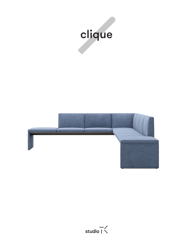